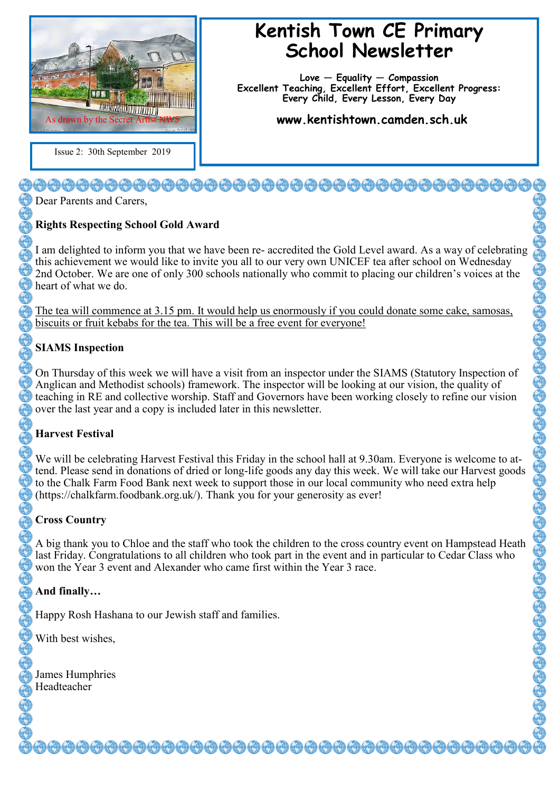

Issue 2: 30th September 2019

# **Kentish Town CE Primary School Newsletter**

**Love — Equality — Compassion Excellent Teaching, Excellent Effort, Excellent Progress: Every Child, Every Lesson, Every Day**

**www.kentishtown.camden.sch.uk** 

Dear Parents and Carers,

## **Rights Respecting School Gold Award**

I am delighted to inform you that we have been re- accredited the Gold Level award. As a way of celebrating this achievement we would like to invite you all to our very own UNICEF tea after school on Wednesday 2nd October. We are one of only 300 schools nationally who commit to placing our children's voices at the heart of what we do.

The tea will commence at 3.15 pm. It would help us enormously if you could donate some cake, samosas, biscuits or fruit kebabs for the tea. This will be a free event for everyone!

## **SIAMS Inspection**

On Thursday of this week we will have a visit from an inspector under the SIAMS (Statutory Inspection of Anglican and Methodist schools) framework. The inspector will be looking at our vision, the quality of teaching in RE and collective worship. Staff and Governors have been working closely to refine our vision over the last year and a copy is included later in this newsletter.

## **Harvest Festival**

We will be celebrating Harvest Festival this Friday in the school hall at 9.30am. Everyone is welcome to attend. Please send in donations of dried or long-life goods any day this week. We will take our Harvest goods to the Chalk Farm Food Bank next week to support those in our local community who need extra help (https://chalkfarm.foodbank.org.uk/). Thank you for your generosity as ever!

## **Cross Country**

A big thank you to Chloe and the staff who took the children to the cross country event on Hampstead Heath last Friday. Congratulations to all children who took part in the event and in particular to Cedar Class who won the Year 3 event and Alexander who came first within the Year 3 race.

## **And finally…**

Happy Rosh Hashana to our Jewish staff and families.

With best wishes,

James Humphries Headteacher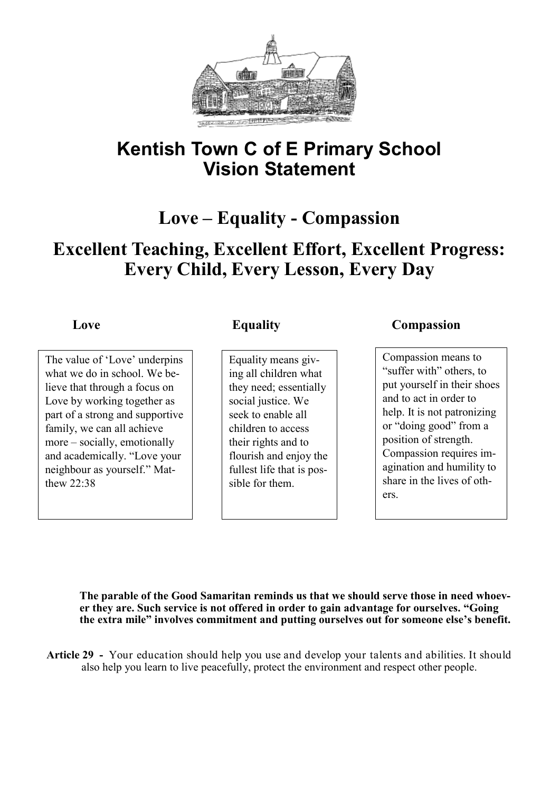

# **Kentish Town C of E Primary School Vision Statement**

# **Love – Equality - Compassion**

# **Excellent Teaching, Excellent Effort, Excellent Progress: Every Child, Every Lesson, Every Day**

The value of 'Love' underpins what we do in school. We believe that through a focus on Love by working together as part of a strong and supportive family, we can all achieve more – socially, emotionally and academically. "Love your neighbour as yourself." Matthew 22:38

Equality means giving all children what they need; essentially social justice. We seek to enable all children to access their rights and to flourish and enjoy the fullest life that is possible for them.

# **Love Equality Compassion**

Compassion means to "suffer with" others, to put yourself in their shoes and to act in order to help. It is not patronizing or "doing good" from a position of strength. Compassion requires imagination and humility to share in the lives of others.

**The parable of the Good Samaritan reminds us that we should serve those in need whoever they are. Such service is not offered in order to gain advantage for ourselves. "Going the extra mile" involves commitment and putting ourselves out for someone else's benefit.**

**Article 29 -** Your education should help you use and develop your talents and abilities. It should also help you learn to live peacefully, protect the environment and respect other people.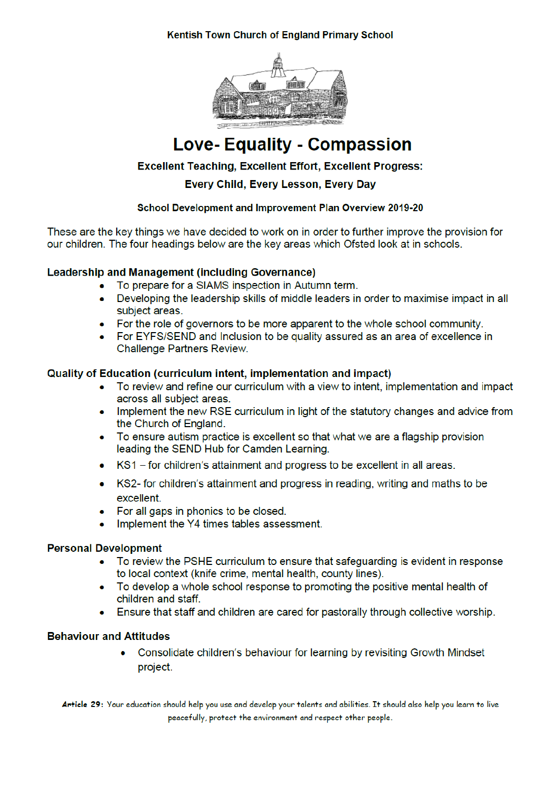### **Kentish Town Church of England Primary School**



# **Love- Equality - Compassion**

### **Excellent Teaching, Excellent Effort, Excellent Progress:**

Every Child, Every Lesson, Every Day

#### School Development and Improvement Plan Overview 2019-20

These are the key things we have decided to work on in order to further improve the provision for our children. The four headings below are the key areas which Ofsted look at in schools.

#### **Leadership and Management (including Governance)**

- To prepare for a SIAMS inspection in Autumn term.
- Developing the leadership skills of middle leaders in order to maximise impact in all  $\bullet$ subject areas.
- For the role of governors to be more apparent to the whole school community.
- For EYFS/SEND and Inclusion to be quality assured as an area of excellence in Challenge Partners Review.

#### Quality of Education (curriculum intent, implementation and impact)

- To review and refine our curriculum with a view to intent, implementation and impact  $\bullet$ across all subject areas.
- Implement the new RSE curriculum in light of the statutory changes and advice from the Church of England.
- To ensure autism practice is excellent so that what we are a flagship provision leading the SEND Hub for Camden Learning.
- KS1 for children's attainment and progress to be excellent in all areas.  $\bullet$
- KS2- for children's attainment and progress in reading, writing and maths to be  $\bullet$ excellent.
- For all gaps in phonics to be closed.
- Implement the Y4 times tables assessment.  $\bullet$

#### **Personal Development**

- To review the PSHE curriculum to ensure that safeguarding is evident in response to local context (knife crime, mental health, county lines).
- To develop a whole school response to promoting the positive mental health of children and staff.
- Ensure that staff and children are cared for pastorally through collective worship.

#### **Behaviour and Attitudes**

 $\bullet$ Consolidate children's behaviour for learning by revisiting Growth Mindset project.

Article 29: Your education should help you use and develop your talents and abilities. It should also help you learn to live peacefully, protect the environment and respect other people.